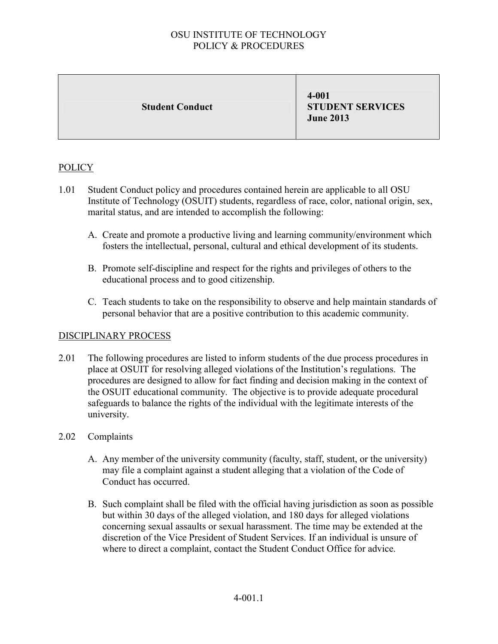Student Conduct

4-001 STUDENT SERVICES June 2013

# POLICY

- 1.01 Student Conduct policy and procedures contained herein are applicable to all OSU Institute of Technology (OSUIT) students, regardless of race, color, national origin, sex, marital status, and are intended to accomplish the following:
	- A. Create and promote a productive living and learning community/environment which fosters the intellectual, personal, cultural and ethical development of its students.
	- B. Promote self-discipline and respect for the rights and privileges of others to the educational process and to good citizenship.
	- C. Teach students to take on the responsibility to observe and help maintain standards of personal behavior that are a positive contribution to this academic community.

### DISCIPLINARY PROCESS

- 2.01 The following procedures are listed to inform students of the due process procedures in place at OSUIT for resolving alleged violations of the Institution's regulations. The procedures are designed to allow for fact finding and decision making in the context of the OSUIT educational community. The objective is to provide adequate procedural safeguards to balance the rights of the individual with the legitimate interests of the university.
- 2.02 Complaints
	- A. Any member of the university community (faculty, staff, student, or the university) may file a complaint against a student alleging that a violation of the Code of Conduct has occurred.
	- B. Such complaint shall be filed with the official having jurisdiction as soon as possible but within 30 days of the alleged violation, and 180 days for alleged violations concerning sexual assaults or sexual harassment. The time may be extended at the discretion of the Vice President of Student Services. If an individual is unsure of where to direct a complaint, contact the Student Conduct Office for advice.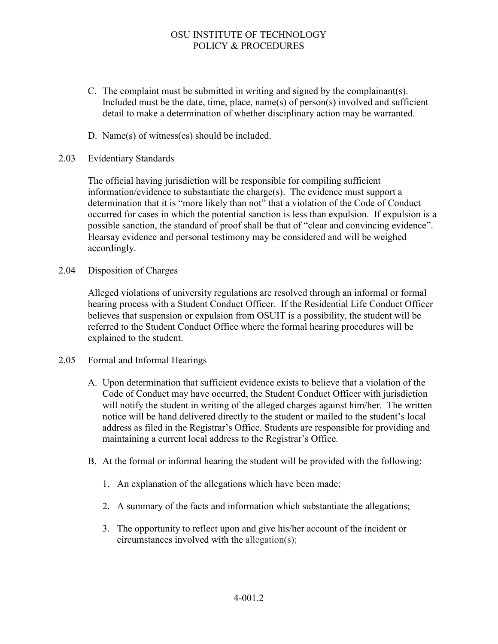- C. The complaint must be submitted in writing and signed by the complainant(s). Included must be the date, time, place, name(s) of person(s) involved and sufficient detail to make a determination of whether disciplinary action may be warranted.
- D. Name(s) of witness(es) should be included.

#### 2.03 Evidentiary Standards

The official having jurisdiction will be responsible for compiling sufficient information/evidence to substantiate the charge(s). The evidence must support a determination that it is "more likely than not" that a violation of the Code of Conduct occurred for cases in which the potential sanction is less than expulsion. If expulsion is a possible sanction, the standard of proof shall be that of "clear and convincing evidence". Hearsay evidence and personal testimony may be considered and will be weighed accordingly.

2.04 Disposition of Charges

Alleged violations of university regulations are resolved through an informal or formal hearing process with a Student Conduct Officer. If the Residential Life Conduct Officer believes that suspension or expulsion from OSUIT is a possibility, the student will be referred to the Student Conduct Office where the formal hearing procedures will be explained to the student.

- 2.05 Formal and Informal Hearings
	- A. Upon determination that sufficient evidence exists to believe that a violation of the Code of Conduct may have occurred, the Student Conduct Officer with jurisdiction will notify the student in writing of the alleged charges against him/her. The written notice will be hand delivered directly to the student or mailed to the student's local address as filed in the Registrar's Office. Students are responsible for providing and maintaining a current local address to the Registrar's Office.
	- B. At the formal or informal hearing the student will be provided with the following:
		- 1. An explanation of the allegations which have been made;
		- 2. A summary of the facts and information which substantiate the allegations;
		- 3. The opportunity to reflect upon and give his/her account of the incident or circumstances involved with the allegation(s);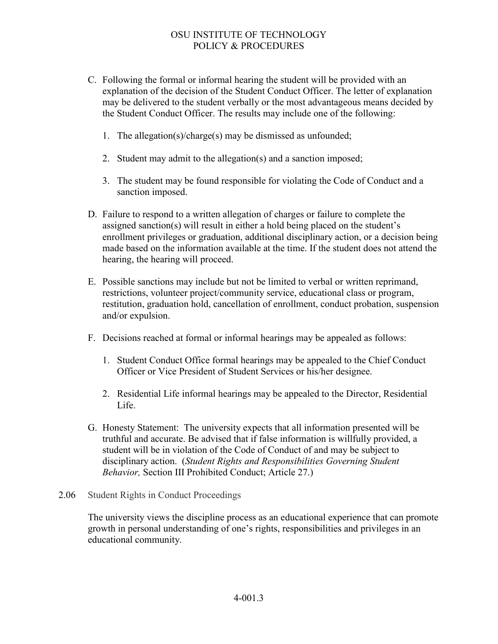- C. Following the formal or informal hearing the student will be provided with an explanation of the decision of the Student Conduct Officer. The letter of explanation may be delivered to the student verbally or the most advantageous means decided by the Student Conduct Officer. The results may include one of the following:
	- 1. The allegation(s)/charge(s) may be dismissed as unfounded;
	- 2. Student may admit to the allegation(s) and a sanction imposed;
	- 3. The student may be found responsible for violating the Code of Conduct and a sanction imposed.
- D. Failure to respond to a written allegation of charges or failure to complete the assigned sanction(s) will result in either a hold being placed on the student's enrollment privileges or graduation, additional disciplinary action, or a decision being made based on the information available at the time. If the student does not attend the hearing, the hearing will proceed.
- E. Possible sanctions may include but not be limited to verbal or written reprimand, restrictions, volunteer project/community service, educational class or program, restitution, graduation hold, cancellation of enrollment, conduct probation, suspension and/or expulsion.
- F. Decisions reached at formal or informal hearings may be appealed as follows:
	- 1. Student Conduct Office formal hearings may be appealed to the Chief Conduct Officer or Vice President of Student Services or his/her designee.
	- 2. Residential Life informal hearings may be appealed to the Director, Residential Life.
- G. Honesty Statement: The university expects that all information presented will be truthful and accurate. Be advised that if false information is willfully provided, a student will be in violation of the Code of Conduct of and may be subject to disciplinary action. (*Student Rights and Responsibilities Governing Student Behavior,* Section III Prohibited Conduct; Article 27.)
- 2.06 Student Rights in Conduct Proceedings

The university views the discipline process as an educational experience that can promote growth in personal understanding of one's rights, responsibilities and privileges in an educational community.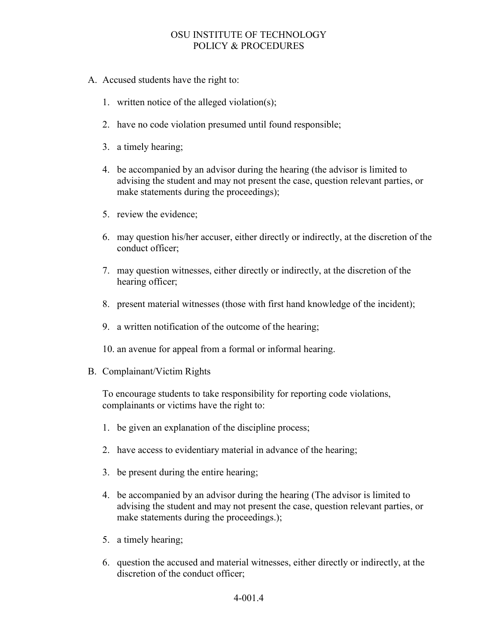- A. Accused students have the right to:
	- 1. written notice of the alleged violation(s);
	- 2. have no code violation presumed until found responsible;
	- 3. a timely hearing;
	- 4. be accompanied by an advisor during the hearing (the advisor is limited to advising the student and may not present the case, question relevant parties, or make statements during the proceedings);
	- 5. review the evidence;
	- 6. may question his/her accuser, either directly or indirectly, at the discretion of the conduct officer;
	- 7. may question witnesses, either directly or indirectly, at the discretion of the hearing officer;
	- 8. present material witnesses (those with first hand knowledge of the incident);
	- 9. a written notification of the outcome of the hearing;
	- 10. an avenue for appeal from a formal or informal hearing.
- B. Complainant/Victim Rights

To encourage students to take responsibility for reporting code violations, complainants or victims have the right to:

- 1. be given an explanation of the discipline process;
- 2. have access to evidentiary material in advance of the hearing;
- 3. be present during the entire hearing;
- 4. be accompanied by an advisor during the hearing (The advisor is limited to advising the student and may not present the case, question relevant parties, or make statements during the proceedings.);
- 5. a timely hearing;
- 6. question the accused and material witnesses, either directly or indirectly, at the discretion of the conduct officer;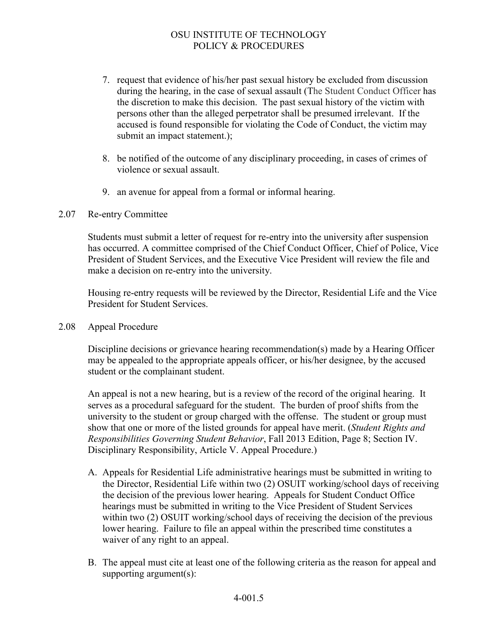- 7. request that evidence of his/her past sexual history be excluded from discussion during the hearing, in the case of sexual assault (The Student Conduct Officer has the discretion to make this decision. The past sexual history of the victim with persons other than the alleged perpetrator shall be presumed irrelevant. If the accused is found responsible for violating the Code of Conduct, the victim may submit an impact statement.);
- 8. be notified of the outcome of any disciplinary proceeding, in cases of crimes of violence or sexual assault.
- 9. an avenue for appeal from a formal or informal hearing.

#### 2.07 Re-entry Committee

Students must submit a letter of request for re-entry into the university after suspension has occurred. A committee comprised of the Chief Conduct Officer, Chief of Police, Vice President of Student Services, and the Executive Vice President will review the file and make a decision on re-entry into the university.

Housing re-entry requests will be reviewed by the Director, Residential Life and the Vice President for Student Services.

2.08 Appeal Procedure

Discipline decisions or grievance hearing recommendation(s) made by a Hearing Officer may be appealed to the appropriate appeals officer, or his/her designee, by the accused student or the complainant student.

An appeal is not a new hearing, but is a review of the record of the original hearing. It serves as a procedural safeguard for the student. The burden of proof shifts from the university to the student or group charged with the offense. The student or group must show that one or more of the listed grounds for appeal have merit. (*Student Rights and Responsibilities Governing Student Behavior*, Fall 2013 Edition, Page 8; Section IV. Disciplinary Responsibility, Article V. Appeal Procedure.)

- A. Appeals for Residential Life administrative hearings must be submitted in writing to the Director, Residential Life within two (2) OSUIT working/school days of receiving the decision of the previous lower hearing. Appeals for Student Conduct Office hearings must be submitted in writing to the Vice President of Student Services within two (2) OSUIT working/school days of receiving the decision of the previous lower hearing. Failure to file an appeal within the prescribed time constitutes a waiver of any right to an appeal.
- B. The appeal must cite at least one of the following criteria as the reason for appeal and supporting argument(s):